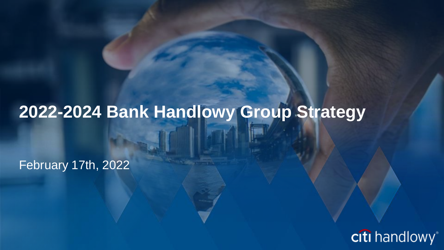# **2022-2024 Bank Handlowy Group Strategy**

February 17th, 2022

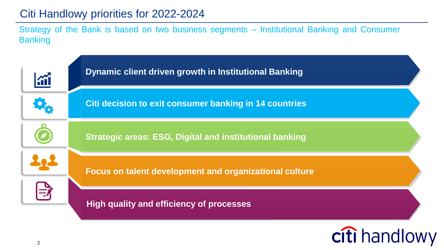# Citi Handlowy priorities for 2022-2024

Strategy of the Bank is based on two business segments – Institutional Banking and Consumer **Banking** 

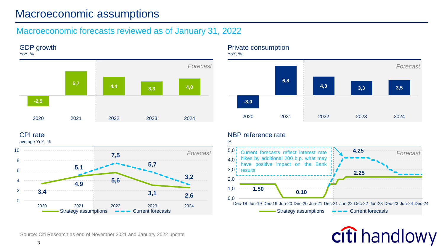# Macroeconomic assumptions

### Macroeconomic forecasts reviewed as of January 31, 2022



CPI rate

average YoY, %



#### Private consumption

**-3,0 6,8 4,3 3,3 3,5** 2020 2021 2022 2023 2024 *Forecast Forecast*

#### YoY, %

NBP reference rate

hikes by additional 200 b.p. what may have positive impact on the Bank

**1.50**

results

0,0 1,0 2,0  $3,0$  $40<sup>1</sup>$  $5,0$ 

%



**2.25**

Source: Citi Research as end of November 2021 and January 2022 update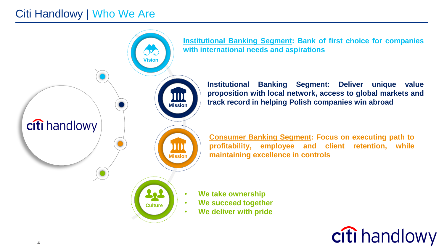# Citi Handlowy | Who We Are

**Vision Mission** citi handlowy Ш **Mission** 22 **Culture**

**Institutional Banking Segment: Bank of first choice for companies with international needs and aspirations**

> **Institutional Banking Segment: Deliver unique value proposition with local network, access to global markets and track record in helping Polish companies win abroad**

**Consumer Banking Segment: Focus on executing path to profitability, employee and client retention, while maintaining excellence in controls**

- **We take ownership**
- **We succeed together**
	- **We deliver with pride**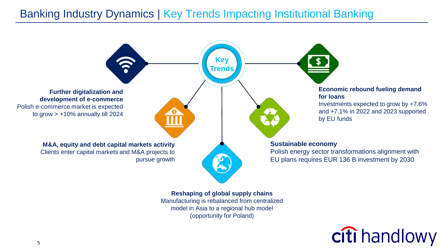# Banking Industry Dynamics | Key Trends Impacting Institutional Banking



Manufacturing is rebalanced from centralized model in Asia to a regional hub model (opportunity for Poland)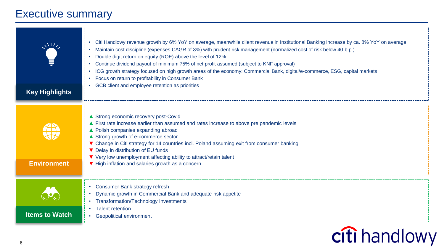# Executive summary

| <b>Key Highlights</b> | Citi Handlowy revenue growth by 6% YoY on average, meanwhile client revenue in Institutional Banking increase by ca. 8% YoY on average<br>Maintain cost discipline (expenses CAGR of 3%) with prudent risk management (normalized cost of risk below 40 b.p.)<br>Double digit return on equity (ROE) above the level of 12%<br>Continue dividend payout of minimum 75% of net profit assumed (subject to KNF approval)<br>ICG growth strategy focused on high growth areas of the economy: Commercial Bank, digital/e-commerce, ESG, capital markets<br>Focus on return to profitability in Consumer Bank<br>GCB client and employee retention as priorities |
|-----------------------|--------------------------------------------------------------------------------------------------------------------------------------------------------------------------------------------------------------------------------------------------------------------------------------------------------------------------------------------------------------------------------------------------------------------------------------------------------------------------------------------------------------------------------------------------------------------------------------------------------------------------------------------------------------|
| <b>Environment</b>    | ▲ Strong economic recovery post-Covid<br>▲ First rate increase earlier than assumed and rates increase to above pre pandemic levels<br>▲ Polish companies expanding abroad<br>▲ Strong growth of e-commerce sector<br>▼ Change in Citi strategy for 14 countries incl. Poland assuming exit from consumer banking<br>▼ Delay in distribution of EU funds<br>▼ Very low unemployment affecting ability to attract/retain talent<br>▼ High inflation and salaries growth as a concern                                                                                                                                                                          |
| <b>Items to Watch</b> | • Consumer Bank strategy refresh<br>Dynamic growth in Commercial Bank and adequate risk appetite<br>Transformation/Technology Investments<br><b>Talent retention</b><br><b>Geopolitical environment</b>                                                                                                                                                                                                                                                                                                                                                                                                                                                      |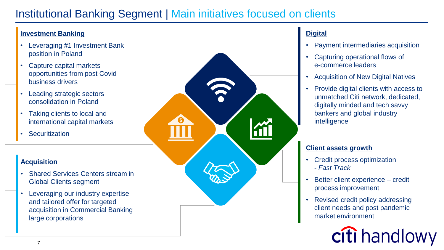# Institutional Banking Segment | Main initiatives focused on clients

#### **Investment Banking**

- Leveraging #1 Investment Bank position in Poland
- Capture capital markets opportunities from post Covid business drivers
- Leading strategic sectors consolidation in Poland
- Taking clients to local and international capital markets
- Securitization

#### **Acquisition**

- Shared Services Centers stream in Global Clients segment
- Leveraging our industry expertise and tailored offer for targeted acquisition in Commercial Banking large corporations



### **Digital**

- Payment intermediaries acquisition
- Capturing operational flows of e-commerce leaders
- Acquisition of New Digital Natives
- Provide digital clients with access to unmatched Citi network, dedicated, digitally minded and tech savvy bankers and global industry intelligence

#### **Client assets growth**

- Credit process optimization - *Fast Track*
- Better client experience credit process improvement
- Revised credit policy addressing client needs and post pandemic market environment

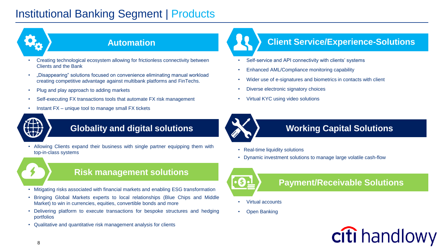# Institutional Banking Segment | Products



### **Automation**

- Creating technological ecosystem allowing for frictionless connectivity between Clients and the Bank
- "Disappearing" solutions focused on convenience eliminating manual workload creating competitive advantage against multibank platforms and FinTechs.
- Plug and play approach to adding markets
- Self-executing FX transactions tools that automate FX risk management
- Instant FX unique tool to manage small FX tickets



## **Globality and digital solutions**

• Allowing Clients expand their business with single partner equipping them with top-in-class systems

### **Risk management solutions**

- Mitigating risks associated with financial markets and enabling ESG transformation
- Bringing Global Markets experts to local relationships (Blue Chips and Middle Market) to win in currencies, equities, convertible bonds and more
- Delivering platform to execute transactions for bespoke structures and hedging portfolios
- Qualitative and quantitative risk management analysis for clients

## **Client Service/Experience-Solutions**

- Self-service and API connectivity with clients' systems
- Enhanced AML/Compliance monitoring capability
- Wider use of e-signatures and biometrics in contacts with client
- Diverse electronic signatory choices
- Virtual KYC using video solutions



### **Working Capital Solutions**

- Real-time liquidity solutions
- Dynamic investment solutions to manage large volatile cash-flow



### **Payment/Receivable Solutions**

- Virtual accounts
- Open Banking

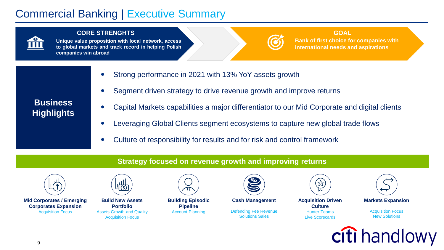# Commercial Banking | Executive Summary



#### **CORE STRENGHTS GOAL**

**Unique value proposition with local network, access to global markets and track record in helping Polish companies win abroad**

#### **Bank of first choice for companies with international needs and aspirations**

- Strong performance in 2021 with 13% YoY assets growth
- Segment driven strategy to drive revenue growth and improve returns
- Capital Markets capabilities a major differentiator to our Mid Corporate and digital clients
- Leveraging Global Clients segment ecosystems to capture new global trade flows
- Culture of responsibility for results and for risk and control framework

#### **Strategy focused on revenue growth and improving returns**



**Business Highlights**

**Mid Corporates / Emerging Corporates Expansion** Acquisition Focus



**Build New Assets Portfolio** Assets Growth and Quality Acquisition Focus



**Building Episodic Pipeline** Account Planning



**Cash Management** Defending Fee Revenue Solutions Sales



**Acquisition Driven Culture** Hunter Teams Live Scorecards



**Markets Expansion**

Acquisition Focus New Solutions

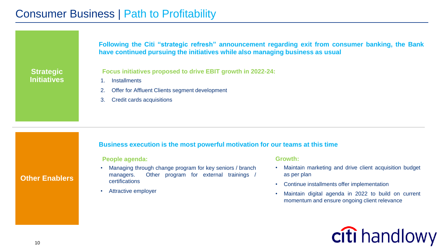**Following the Citi "strategic refresh" announcement regarding exit from consumer banking, the Bank have continued pursuing the initiatives while also managing business as usual**

#### **Strategic Initiatives**

**Focus initiatives proposed to drive EBIT growth in 2022-24:**

- 1. Installments
- 2. Offer for Affluent Clients segment development
- 3. Credit cards acquisitions

#### **Business execution is the most powerful motivation for our teams at this time**

#### **People agenda:**

- Managing through change program for key seniors / branch managers. Other program for external trainings / certifications
- Attractive employer

#### **Growth:**

- Maintain marketing and drive client acquisition budget as per plan
- Continue installments offer implementation
- Maintain digital agenda in 2022 to build on current momentum and ensure ongoing client relevance

# citi handlowy

#### **Other Enablers**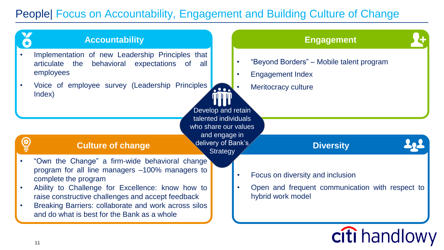# People| Focus on Accountability, Engagement and Building Culture of Change

|   | <b>Accountability</b>                                                                                                         |                                            | <b>Engagement</b>                                                    |
|---|-------------------------------------------------------------------------------------------------------------------------------|--------------------------------------------|----------------------------------------------------------------------|
|   | Implementation of new Leadership Principles that<br>articulate the<br>behavioral expectations of all<br>employees             |                                            | "Beyond Borders" – Mobile talent program<br><b>Engagement Index</b>  |
|   | Voice of employee survey (Leadership Principles<br>Index)                                                                     | $\bullet$ $\bullet$ $\bullet$              | Meritocracy culture                                                  |
|   |                                                                                                                               | Develop and retain<br>talented individuals |                                                                      |
|   |                                                                                                                               | who share our values                       |                                                                      |
|   |                                                                                                                               | and engage in                              |                                                                      |
| O | <b>Culture of change</b>                                                                                                      | delivery of Bank's                         | <b>Diversity</b>                                                     |
|   | "Own the Change" a firm-wide behavioral change<br>program for all line managers -100% managers to                             | <b>Strategy</b>                            | Focus on diversity and inclusion                                     |
|   | complete the program<br>Ability to Challenge for Excellence: know how to<br>raise constructive challenges and accept feedback |                                            | Open and frequent communication with respect to<br>hybrid work model |
|   | Breaking Barriers: collaborate and work across silos<br>and do what is best for the Bank as a whole                           |                                            |                                                                      |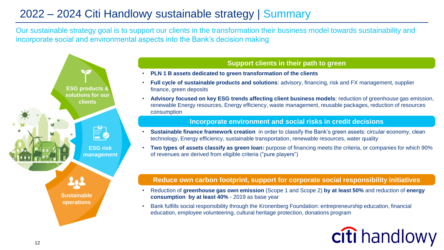# 2022 – 2024 Citi Handlowy sustainable strategy | Summary

Our sustainable strategy goal is to support our clients in the transformation their business model towards sustainability and incorporate social and environmental aspects into the Bank's decision making



#### **Support clients in their path to green**

- **PLN 1 B assets dedicated to green transformation of the clients**
- **Full cycle of sustainable products and solutions**: advisory, financing, risk and FX management, supplier finance, green deposits
- **Advisory focused on key ESG trends affecting client business models**: reduction of greenhouse gas emission, renewable Energy resources, Energy efficiency, waste management, reusable packages, reduction of resources consumption

#### **Incorporate environment and social risks in credit decisions**

- **Sustainable finance framework creation** in order to classify the Bank's green assets: circular economy, clean technology, Energy efficiency, sustainable transportation, renewable resources, water quality
- **Two types of assets classify as green loan:** purpose of financing meets the criteria, or companies for which 90% of revenues are derived from eligible criteria ("pure players")

#### **Reduce own carbon footprint, support for corporate social responsibility initiatives**

- Reduction of **greenhouse gas own emission** (Scope 1 and Scope 2) **by at least 50%** and reduction of **energy consumption by at least 40%** - 2019 as base year
- Bank fulfills social responsibility through the Kronenberg Foundation: entrepreneurship education, financial education, employee volunteering, cultural heritage protection, donations program